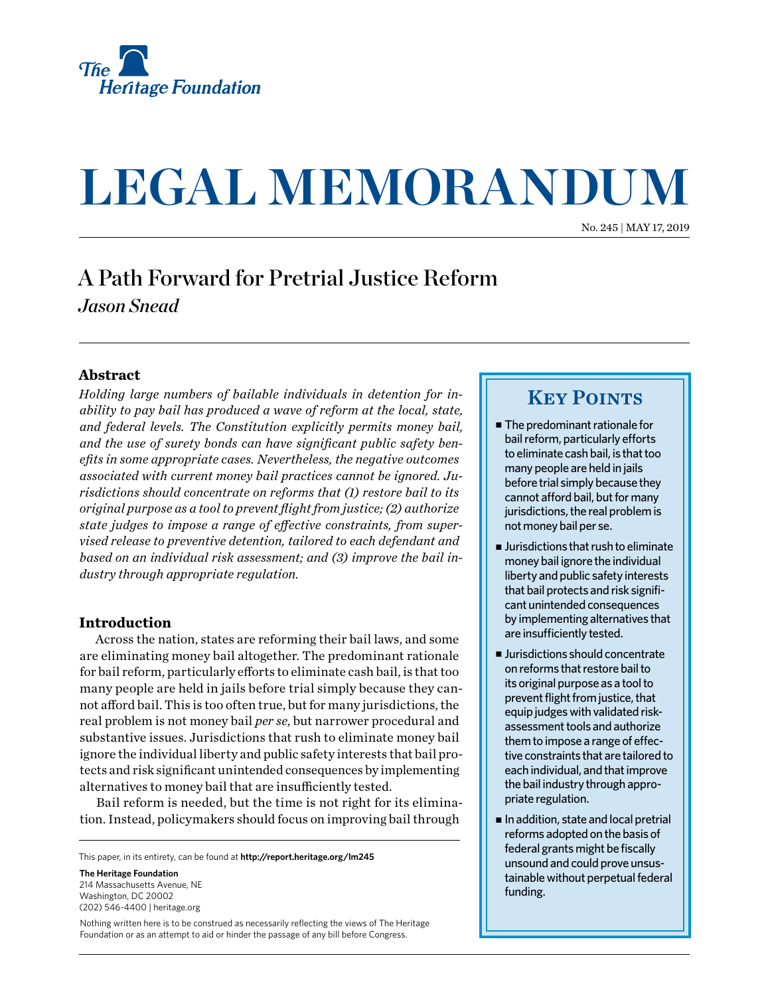

# **LEGAL MEMORANDUM**

No. 245 | May 17, 2019

## A Path Forward for Pretrial Justice Reform *Jason Snead*

#### **Abstract**

*Holding large numbers of bailable individuals in detention for inability to pay bail has produced a wave of reform at the local, state, and federal levels. The Constitution explicitly permits money bail, and the use of surety bonds can have significant public safety benefits in some appropriate cases. Nevertheless, the negative outcomes associated with current money bail practices cannot be ignored. Jurisdictions should concentrate on reforms that (1) restore bail to its original purpose as a tool to prevent flight from justice; (2) authorize state judges to impose a range of effective constraints, from supervised release to preventive detention, tailored to each defendant and based on an individual risk assessment; and (3) improve the bail industry through appropriate regulation.*

#### **Introduction**

Across the nation, states are reforming their bail laws, and some are eliminating money bail altogether. The predominant rationale for bail reform, particularly efforts to eliminate cash bail, is that too many people are held in jails before trial simply because they cannot afford bail. This is too often true, but for many jurisdictions, the real problem is not money bail *per se*, but narrower procedural and substantive issues. Jurisdictions that rush to eliminate money bail ignore the individual liberty and public safety interests that bail protects and risk significant unintended consequences by implementing alternatives to money bail that are insufficiently tested.

Bail reform is needed, but the time is not right for its elimination. Instead, policymakers should focus on improving bail through

This paper, in its entirety, can be found at **[http://report.heritage.org](http://www.heritage.org/research)/lm245**

**The Heritage Foundation** 214 Massachusetts Avenue, NF Washington, DC 20002 (202) 546-4400 | [heritage.org](http://www.heritage.org)

Nothing written here is to be construed as necessarily reflecting the views of The Heritage Foundation or as an attempt to aid or hinder the passage of any bill before Congress.

### **KEY POINTS**

- $\blacksquare$  The predominant rationale for bail reform, particularly efforts to eliminate cash bail, is that too many people are held in jails before trial simply because they cannot afford bail, but for many jurisdictions, the real problem is not money bail per se.
- $\blacksquare$  Jurisdictions that rush to eliminate money bail ignore the individual liberty and public safety interests that bail protects and risk significant unintended consequences by implementing alternatives that are insufficiently tested.
- $\blacksquare$  Jurisdictions should concentrate on reforms that restore bail to its original purpose as a tool to prevent flight from justice, that equip judges with validated riskassessment tools and authorize them to impose a range of effective constraints that are tailored to each individual, and that improve the bail industry through appropriate regulation.
- In addition, state and local pretrial reforms adopted on the basis of federal grants might be fiscally unsound and could prove unsustainable without perpetual federal funding.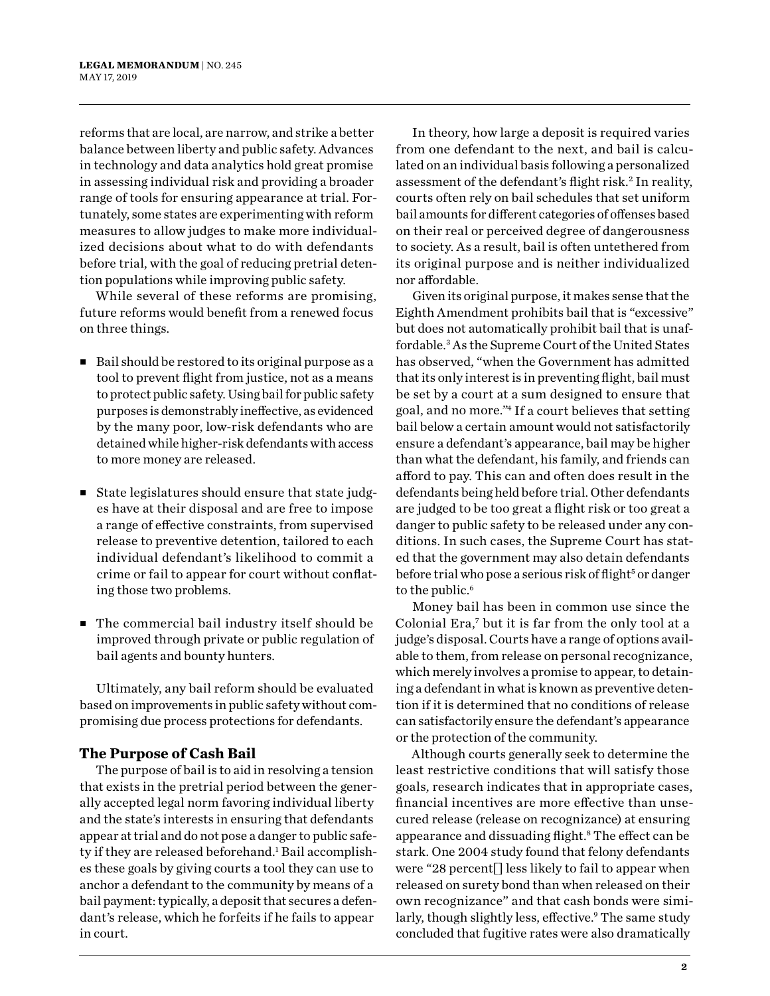reforms that are local, are narrow, and strike a better balance between liberty and public safety. Advances in technology and data analytics hold great promise in assessing individual risk and providing a broader range of tools for ensuring appearance at trial. Fortunately, some states are experimenting with reform measures to allow judges to make more individualized decisions about what to do with defendants before trial, with the goal of reducing pretrial detention populations while improving public safety.

While several of these reforms are promising, future reforms would benefit from a renewed focus on three things.

- $\blacksquare$  Bail should be restored to its original purpose as a tool to prevent flight from justice, not as a means to protect public safety. Using bail for public safety purposes is demonstrably ineffective, as evidenced by the many poor, low-risk defendants who are detained while higher-risk defendants with access to more money are released.
- State legislatures should ensure that state judges have at their disposal and are free to impose a range of effective constraints, from supervised release to preventive detention, tailored to each individual defendant's likelihood to commit a crime or fail to appear for court without conflating those two problems.
- The commercial bail industry itself should be improved through private or public regulation of bail agents and bounty hunters.

Ultimately, any bail reform should be evaluated based on improvements in public safety without compromising due process protections for defendants.

#### **The Purpose of Cash Bail**

The purpose of bail is to aid in resolving a tension that exists in the pretrial period between the generally accepted legal norm favoring individual liberty and the state's interests in ensuring that defendants appear at trial and do not pose a danger to public safety if they are released beforehand.<sup>1</sup> Bail accomplishes these goals by giving courts a tool they can use to anchor a defendant to the community by means of a bail payment: typically, a deposit that secures a defendant's release, which he forfeits if he fails to appear in court.

In theory, how large a deposit is required varies from one defendant to the next, and bail is calculated on an individual basis following a personalized assessment of the defendant's flight risk.<sup>2</sup> In reality, courts often rely on bail schedules that set uniform bail amounts for different categories of offenses based on their real or perceived degree of dangerousness to society. As a result, bail is often untethered from its original purpose and is neither individualized nor affordable.

Given its original purpose, it makes sense that the Eighth Amendment prohibits bail that is "excessive" but does not automatically prohibit bail that is unaffordable.3 As the Supreme Court of the United States has observed, "when the Government has admitted that its only interest is in preventing flight, bail must be set by a court at a sum designed to ensure that goal, and no more."4 If a court believes that setting bail below a certain amount would not satisfactorily ensure a defendant's appearance, bail may be higher than what the defendant, his family, and friends can afford to pay. This can and often does result in the defendants being held before trial. Other defendants are judged to be too great a flight risk or too great a danger to public safety to be released under any conditions. In such cases, the Supreme Court has stated that the government may also detain defendants before trial who pose a serious risk of flight<sup>5</sup> or danger to the public.<sup>6</sup>

Money bail has been in common use since the Colonial Era,7 but it is far from the only tool at a judge's disposal. Courts have a range of options available to them, from release on personal recognizance, which merely involves a promise to appear, to detaining a defendant in what is known as preventive detention if it is determined that no conditions of release can satisfactorily ensure the defendant's appearance or the protection of the community.

Although courts generally seek to determine the least restrictive conditions that will satisfy those goals, research indicates that in appropriate cases, financial incentives are more effective than unsecured release (release on recognizance) at ensuring appearance and dissuading flight.8 The effect can be stark. One 2004 study found that felony defendants were "28 percent[] less likely to fail to appear when released on surety bond than when released on their own recognizance" and that cash bonds were similarly, though slightly less, effective.<sup>9</sup> The same study concluded that fugitive rates were also dramatically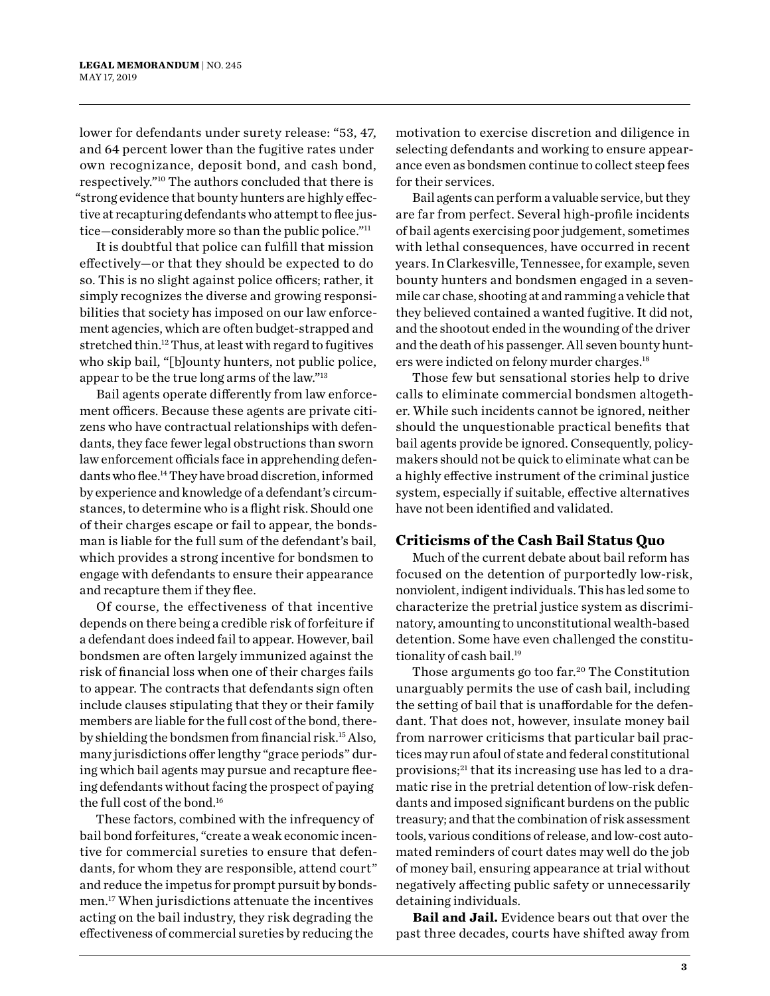lower for defendants under surety release: "53, 47, and 64 percent lower than the fugitive rates under own recognizance, deposit bond, and cash bond, respectively."10 The authors concluded that there is "strong evidence that bounty hunters are highly effective at recapturing defendants who attempt to flee justice—considerably more so than the public police."11

It is doubtful that police can fulfill that mission effectively—or that they should be expected to do so. This is no slight against police officers; rather, it simply recognizes the diverse and growing responsibilities that society has imposed on our law enforcement agencies, which are often budget-strapped and stretched thin.12 Thus, at least with regard to fugitives who skip bail, "[b]ounty hunters, not public police, appear to be the true long arms of the law."13

Bail agents operate differently from law enforcement officers. Because these agents are private citizens who have contractual relationships with defendants, they face fewer legal obstructions than sworn law enforcement officials face in apprehending defendants who flee.14 They have broad discretion, informed by experience and knowledge of a defendant's circumstances, to determine who is a flight risk. Should one of their charges escape or fail to appear, the bondsman is liable for the full sum of the defendant's bail, which provides a strong incentive for bondsmen to engage with defendants to ensure their appearance and recapture them if they flee.

Of course, the effectiveness of that incentive depends on there being a credible risk of forfeiture if a defendant does indeed fail to appear. However, bail bondsmen are often largely immunized against the risk of financial loss when one of their charges fails to appear. The contracts that defendants sign often include clauses stipulating that they or their family members are liable for the full cost of the bond, thereby shielding the bondsmen from financial risk.15 Also, many jurisdictions offer lengthy "grace periods" during which bail agents may pursue and recapture fleeing defendants without facing the prospect of paying the full cost of the bond.16

These factors, combined with the infrequency of bail bond forfeitures, "create a weak economic incentive for commercial sureties to ensure that defendants, for whom they are responsible, attend court" and reduce the impetus for prompt pursuit by bondsmen.17 When jurisdictions attenuate the incentives acting on the bail industry, they risk degrading the effectiveness of commercial sureties by reducing the

motivation to exercise discretion and diligence in selecting defendants and working to ensure appearance even as bondsmen continue to collect steep fees for their services.

Bail agents can perform a valuable service, but they are far from perfect. Several high-profile incidents of bail agents exercising poor judgement, sometimes with lethal consequences, have occurred in recent years. In Clarkesville, Tennessee, for example, seven bounty hunters and bondsmen engaged in a sevenmile car chase, shooting at and ramming a vehicle that they believed contained a wanted fugitive. It did not, and the shootout ended in the wounding of the driver and the death of his passenger. All seven bounty hunters were indicted on felony murder charges.18

Those few but sensational stories help to drive calls to eliminate commercial bondsmen altogether. While such incidents cannot be ignored, neither should the unquestionable practical benefits that bail agents provide be ignored. Consequently, policymakers should not be quick to eliminate what can be a highly effective instrument of the criminal justice system, especially if suitable, effective alternatives have not been identified and validated.

#### **Criticisms of the Cash Bail Status Quo**

Much of the current debate about bail reform has focused on the detention of purportedly low-risk, nonviolent, indigent individuals. This has led some to characterize the pretrial justice system as discriminatory, amounting to unconstitutional wealth-based detention. Some have even challenged the constitutionality of cash bail.<sup>19</sup>

Those arguments go too far.<sup>20</sup> The Constitution unarguably permits the use of cash bail, including the setting of bail that is unaffordable for the defendant. That does not, however, insulate money bail from narrower criticisms that particular bail practices may run afoul of state and federal constitutional provisions;21 that its increasing use has led to a dramatic rise in the pretrial detention of low-risk defendants and imposed significant burdens on the public treasury; and that the combination of risk assessment tools, various conditions of release, and low-cost automated reminders of court dates may well do the job of money bail, ensuring appearance at trial without negatively affecting public safety or unnecessarily detaining individuals.

**Bail and Jail.** Evidence bears out that over the past three decades, courts have shifted away from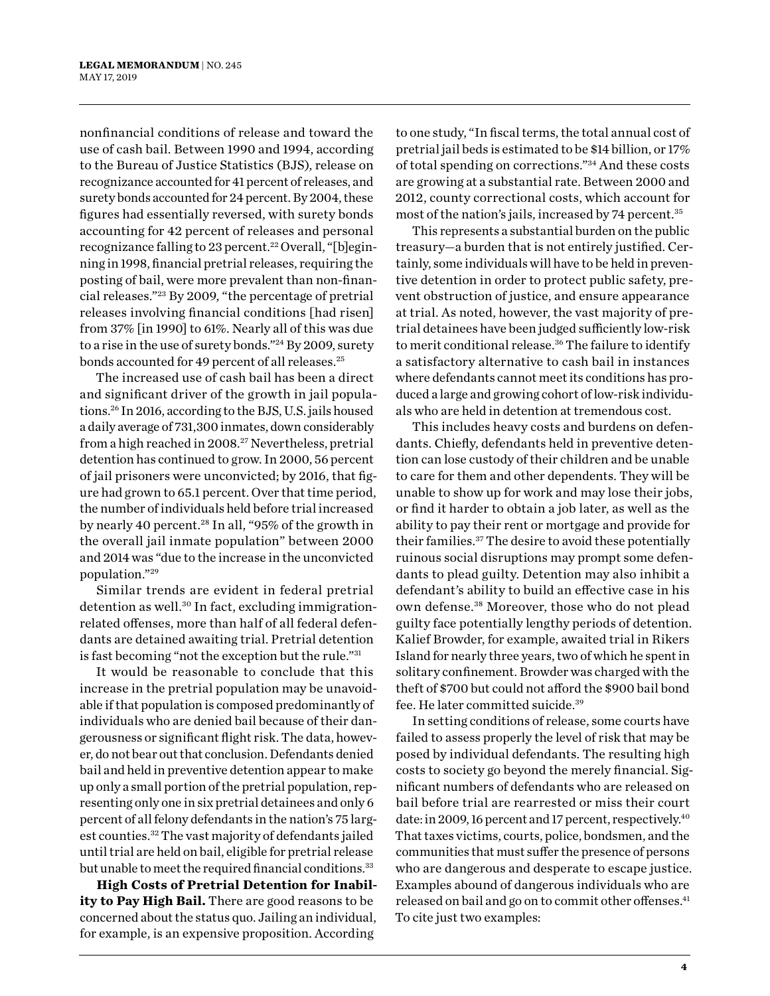nonfinancial conditions of release and toward the use of cash bail. Between 1990 and 1994, according to the Bureau of Justice Statistics (BJS), release on recognizance accounted for 41 percent of releases, and surety bonds accounted for 24 percent. By 2004, these figures had essentially reversed, with surety bonds accounting for 42 percent of releases and personal recognizance falling to 23 percent.<sup>22</sup> Overall, "[b]eginning in 1998, financial pretrial releases, requiring the posting of bail, were more prevalent than non-financial releases."23 By 2009, "the percentage of pretrial releases involving financial conditions [had risen] from 37% [in 1990] to 61%. Nearly all of this was due to a rise in the use of surety bonds."24 By 2009, surety bonds accounted for 49 percent of all releases.<sup>25</sup>

The increased use of cash bail has been a direct and significant driver of the growth in jail populations.26 In 2016, according to the BJS, U.S. jails housed a daily average of 731,300 inmates, down considerably from a high reached in 2008.<sup>27</sup> Nevertheless, pretrial detention has continued to grow. In 2000, 56 percent of jail prisoners were unconvicted; by 2016, that figure had grown to 65.1 percent. Over that time period, the number of individuals held before trial increased by nearly 40 percent.<sup>28</sup> In all, "95% of the growth in the overall jail inmate population" between 2000 and 2014 was "due to the increase in the unconvicted population."29

Similar trends are evident in federal pretrial detention as well.<sup>30</sup> In fact, excluding immigrationrelated offenses, more than half of all federal defendants are detained awaiting trial. Pretrial detention is fast becoming "not the exception but the rule."31

It would be reasonable to conclude that this increase in the pretrial population may be unavoidable if that population is composed predominantly of individuals who are denied bail because of their dangerousness or significant flight risk. The data, however, do not bear out that conclusion. Defendants denied bail and held in preventive detention appear to make up only a small portion of the pretrial population, representing only one in six pretrial detainees and only 6 percent of all felony defendants in the nation's 75 largest counties.32 The vast majority of defendants jailed until trial are held on bail, eligible for pretrial release but unable to meet the required financial conditions.<sup>33</sup>

**High Costs of Pretrial Detention for Inability to Pay High Bail.** There are good reasons to be concerned about the status quo. Jailing an individual, for example, is an expensive proposition. According

to one study, "In fiscal terms, the total annual cost of pretrial jail beds is estimated to be \$14 billion, or 17% of total spending on corrections."34 And these costs are growing at a substantial rate. Between 2000 and 2012, county correctional costs, which account for most of the nation's jails, increased by 74 percent.35

This represents a substantial burden on the public treasury—a burden that is not entirely justified. Certainly, some individuals will have to be held in preventive detention in order to protect public safety, prevent obstruction of justice, and ensure appearance at trial. As noted, however, the vast majority of pretrial detainees have been judged sufficiently low-risk to merit conditional release.<sup>36</sup> The failure to identify a satisfactory alternative to cash bail in instances where defendants cannot meet its conditions has produced a large and growing cohort of low-risk individuals who are held in detention at tremendous cost.

This includes heavy costs and burdens on defendants. Chiefly, defendants held in preventive detention can lose custody of their children and be unable to care for them and other dependents. They will be unable to show up for work and may lose their jobs, or find it harder to obtain a job later, as well as the ability to pay their rent or mortgage and provide for their families.37 The desire to avoid these potentially ruinous social disruptions may prompt some defendants to plead guilty. Detention may also inhibit a defendant's ability to build an effective case in his own defense.38 Moreover, those who do not plead guilty face potentially lengthy periods of detention. Kalief Browder, for example, awaited trial in Rikers Island for nearly three years, two of which he spent in solitary confinement. Browder was charged with the theft of \$700 but could not afford the \$900 bail bond fee. He later committed suicide.39

In setting conditions of release, some courts have failed to assess properly the level of risk that may be posed by individual defendants. The resulting high costs to society go beyond the merely financial. Significant numbers of defendants who are released on bail before trial are rearrested or miss their court date: in 2009, 16 percent and 17 percent, respectively.<sup>40</sup> That taxes victims, courts, police, bondsmen, and the communities that must suffer the presence of persons who are dangerous and desperate to escape justice. Examples abound of dangerous individuals who are released on bail and go on to commit other offenses.<sup>41</sup> To cite just two examples: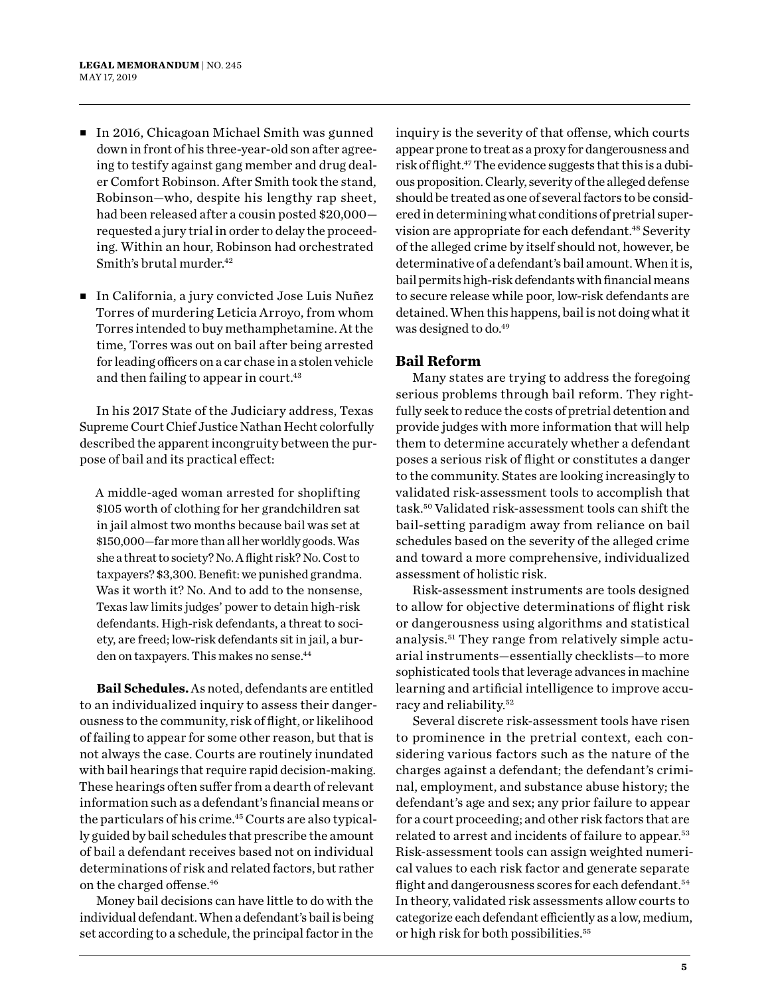- In 2016, Chicagoan Michael Smith was gunned down in front of his three-year-old son after agreeing to testify against gang member and drug dealer Comfort Robinson. After Smith took the stand, Robinson—who, despite his lengthy rap sheet, had been released after a cousin posted \$20,000 requested a jury trial in order to delay the proceeding. Within an hour, Robinson had orchestrated Smith's brutal murder.<sup>42</sup>
- <sup>n</sup> In California, a jury convicted Jose Luis Nuñez Torres of murdering Leticia Arroyo, from whom Torres intended to buy methamphetamine. At the time, Torres was out on bail after being arrested for leading officers on a car chase in a stolen vehicle and then failing to appear in court.<sup>43</sup>

In his 2017 State of the Judiciary address, Texas Supreme Court Chief Justice Nathan Hecht colorfully described the apparent incongruity between the purpose of bail and its practical effect:

A middle-aged woman arrested for shoplifting \$105 worth of clothing for her grandchildren sat in jail almost two months because bail was set at \$150,000—far more than all her worldly goods. Was she a threat to society? No. A flight risk? No. Cost to taxpayers? \$3,300. Benefit: we punished grandma. Was it worth it? No. And to add to the nonsense, Texas law limits judges' power to detain high-risk defendants. High-risk defendants, a threat to society, are freed; low-risk defendants sit in jail, a burden on taxpayers. This makes no sense.<sup>44</sup>

**Bail Schedules.**As noted, defendants are entitled to an individualized inquiry to assess their dangerousness to the community, risk of flight, or likelihood of failing to appear for some other reason, but that is not always the case. Courts are routinely inundated with bail hearings that require rapid decision-making. These hearings often suffer from a dearth of relevant information such as a defendant's financial means or the particulars of his crime.<sup>45</sup> Courts are also typically guided by bail schedules that prescribe the amount of bail a defendant receives based not on individual determinations of risk and related factors, but rather on the charged offense.46

Money bail decisions can have little to do with the individual defendant. When a defendant's bail is being set according to a schedule, the principal factor in the inquiry is the severity of that offense, which courts appear prone to treat as a proxy for dangerousness and risk of flight.<sup>47</sup> The evidence suggests that this is a dubious proposition. Clearly, severity of the alleged defense should be treated as one of several factors to be considered in determining what conditions of pretrial supervision are appropriate for each defendant.<sup>48</sup> Severity of the alleged crime by itself should not, however, be determinative of a defendant's bail amount. When it is, bail permits high-risk defendants with financial means to secure release while poor, low-risk defendants are detained. When this happens, bail is not doing what it was designed to do.<sup>49</sup>

#### **Bail Reform**

Many states are trying to address the foregoing serious problems through bail reform. They rightfully seek to reduce the costs of pretrial detention and provide judges with more information that will help them to determine accurately whether a defendant poses a serious risk of flight or constitutes a danger to the community. States are looking increasingly to validated risk-assessment tools to accomplish that task.50 Validated risk-assessment tools can shift the bail-setting paradigm away from reliance on bail schedules based on the severity of the alleged crime and toward a more comprehensive, individualized assessment of holistic risk.

Risk-assessment instruments are tools designed to allow for objective determinations of flight risk or dangerousness using algorithms and statistical analysis.51 They range from relatively simple actuarial instruments—essentially checklists—to more sophisticated tools that leverage advances in machine learning and artificial intelligence to improve accuracy and reliability.52

Several discrete risk-assessment tools have risen to prominence in the pretrial context, each considering various factors such as the nature of the charges against a defendant; the defendant's criminal, employment, and substance abuse history; the defendant's age and sex; any prior failure to appear for a court proceeding; and other risk factors that are related to arrest and incidents of failure to appear.53 Risk-assessment tools can assign weighted numerical values to each risk factor and generate separate flight and dangerousness scores for each defendant.<sup>54</sup> In theory, validated risk assessments allow courts to categorize each defendant efficiently as a low, medium, or high risk for both possibilities.55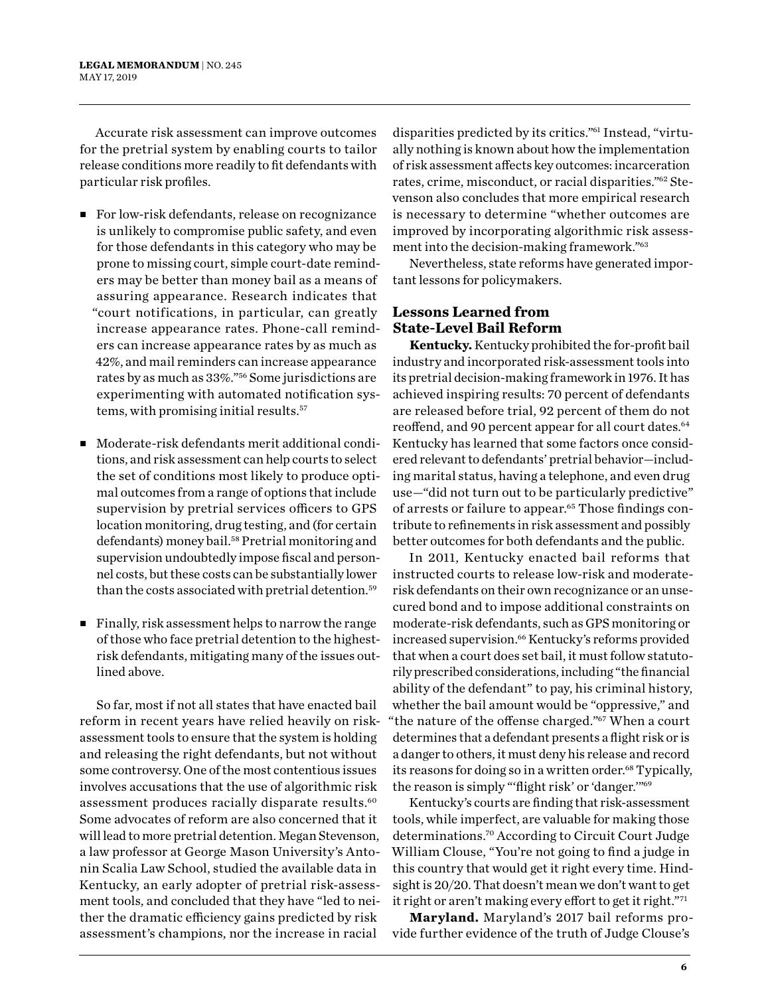Accurate risk assessment can improve outcomes for the pretrial system by enabling courts to tailor release conditions more readily to fit defendants with particular risk profiles.

- For low-risk defendants, release on recognizance is unlikely to compromise public safety, and even for those defendants in this category who may be prone to missing court, simple court-date reminders may be better than money bail as a means of assuring appearance. Research indicates that "court notifications, in particular, can greatly increase appearance rates. Phone-call reminders can increase appearance rates by as much as 42%, and mail reminders can increase appearance rates by as much as 33%."56 Some jurisdictions are experimenting with automated notification systems, with promising initial results.57
- Moderate-risk defendants merit additional conditions, and risk assessment can help courts to select the set of conditions most likely to produce optimal outcomes from a range of options that include supervision by pretrial services officers to GPS location monitoring, drug testing, and (for certain defendants) money bail.58 Pretrial monitoring and supervision undoubtedly impose fiscal and personnel costs, but these costs can be substantially lower than the costs associated with pretrial detention.59
- $\blacksquare$  Finally, risk assessment helps to narrow the range of those who face pretrial detention to the highestrisk defendants, mitigating many of the issues outlined above.

So far, most if not all states that have enacted bail reform in recent years have relied heavily on riskassessment tools to ensure that the system is holding and releasing the right defendants, but not without some controversy. One of the most contentious issues involves accusations that the use of algorithmic risk assessment produces racially disparate results.<sup>60</sup> Some advocates of reform are also concerned that it will lead to more pretrial detention. Megan Stevenson, a law professor at George Mason University's Antonin Scalia Law School, studied the available data in Kentucky, an early adopter of pretrial risk-assessment tools, and concluded that they have "led to neither the dramatic efficiency gains predicted by risk assessment's champions, nor the increase in racial

disparities predicted by its critics."61 Instead, "virtually nothing is known about how the implementation of risk assessment affects key outcomes: incarceration rates, crime, misconduct, or racial disparities."62 Stevenson also concludes that more empirical research is necessary to determine "whether outcomes are improved by incorporating algorithmic risk assessment into the decision-making framework."63

Nevertheless, state reforms have generated important lessons for policymakers.

#### **Lessons Learned from State-Level Bail Reform**

**Kentucky.** Kentucky prohibited the for-profit bail industry and incorporated risk-assessment tools into its pretrial decision-making framework in 1976. It has achieved inspiring results: 70 percent of defendants are released before trial, 92 percent of them do not reoffend, and 90 percent appear for all court dates.<sup>64</sup> Kentucky has learned that some factors once considered relevant to defendants' pretrial behavior—including marital status, having a telephone, and even drug use—"did not turn out to be particularly predictive" of arrests or failure to appear.<sup>65</sup> Those findings contribute to refinements in risk assessment and possibly better outcomes for both defendants and the public.

In 2011, Kentucky enacted bail reforms that instructed courts to release low-risk and moderaterisk defendants on their own recognizance or an unsecured bond and to impose additional constraints on moderate-risk defendants, such as GPS monitoring or increased supervision.<sup>66</sup> Kentucky's reforms provided that when a court does set bail, it must follow statutorily prescribed considerations, including "the financial ability of the defendant" to pay, his criminal history, whether the bail amount would be "oppressive," and "the nature of the offense charged."67 When a court determines that a defendant presents a flight risk or is a danger to others, it must deny his release and record its reasons for doing so in a written order.<sup>68</sup> Typically, the reason is simply "'flight risk' or 'danger.'"69

Kentucky's courts are finding that risk-assessment tools, while imperfect, are valuable for making those determinations.70 According to Circuit Court Judge William Clouse, "You're not going to find a judge in this country that would get it right every time. Hindsight is 20/20. That doesn't mean we don't want to get it right or aren't making every effort to get it right."71

**Maryland.** Maryland's 2017 bail reforms provide further evidence of the truth of Judge Clouse's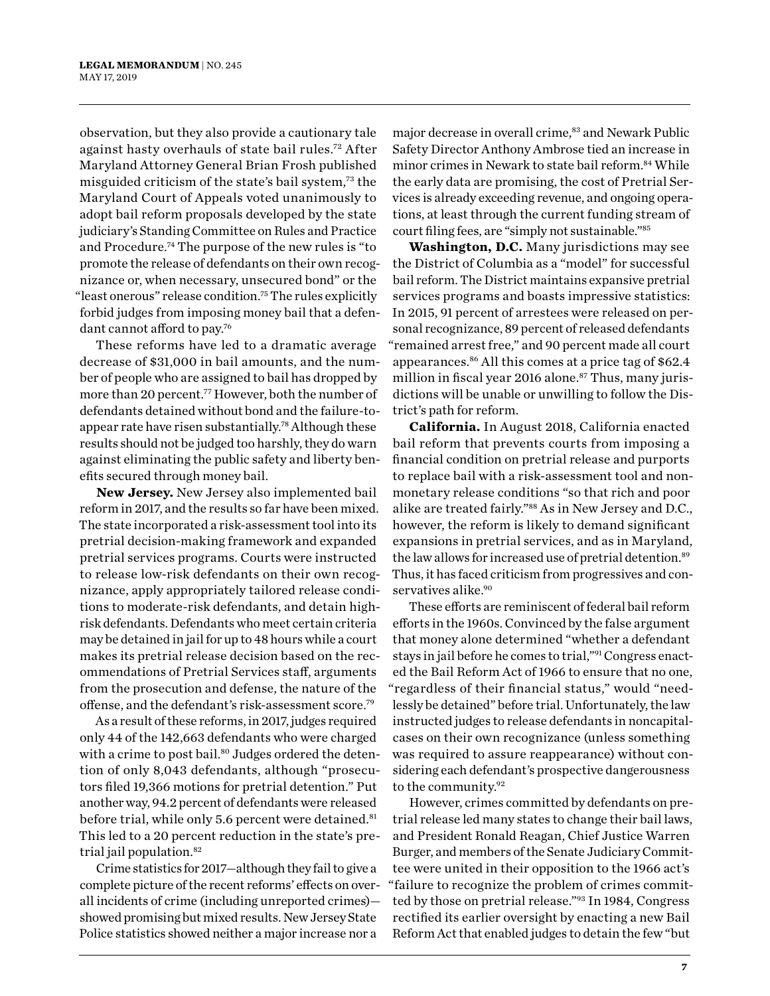observation, but they also provide a cautionary tale against hasty overhauls of state bail rules.72 After Maryland Attorney General Brian Frosh published misguided criticism of the state's bail system,73 the Maryland Court of Appeals voted unanimously to adopt bail reform proposals developed by the state judiciary's Standing Committee on Rules and Practice and Procedure.74 The purpose of the new rules is "to promote the release of defendants on their own recognizance or, when necessary, unsecured bond" or the "least onerous" release condition.75 The rules explicitly forbid judges from imposing money bail that a defendant cannot afford to pay.76

These reforms have led to a dramatic average decrease of \$31,000 in bail amounts, and the number of people who are assigned to bail has dropped by more than 20 percent.77 However, both the number of defendants detained without bond and the failure-toappear rate have risen substantially.78Although these results should not be judged too harshly, they do warn against eliminating the public safety and liberty benefits secured through money bail.

**New Jersey.** New Jersey also implemented bail reform in 2017, and the results so far have been mixed. The state incorporated a risk-assessment tool into its pretrial decision-making framework and expanded pretrial services programs. Courts were instructed to release low-risk defendants on their own recognizance, apply appropriately tailored release conditions to moderate-risk defendants, and detain highrisk defendants. Defendants who meet certain criteria may be detained in jail for up to 48 hours while a court makes its pretrial release decision based on the recommendations of Pretrial Services staff, arguments from the prosecution and defense, the nature of the offense, and the defendant's risk-assessment score.79

As a result of these reforms, in 2017, judges required only 44 of the 142,663 defendants who were charged with a crime to post bail.<sup>80</sup> Judges ordered the detention of only 8,043 defendants, although "prosecutors filed 19,366 motions for pretrial detention." Put another way, 94.2 percent of defendants were released before trial, while only 5.6 percent were detained.<sup>81</sup> This led to a 20 percent reduction in the state's pretrial jail population.<sup>82</sup>

Crime statistics for 2017—although they fail to give a complete picture of the recent reforms' effects on overall incidents of crime (including unreported crimes) showed promising but mixed results. New Jersey State Police statistics showed neither a major increase nor a

major decrease in overall crime,<sup>83</sup> and Newark Public Safety Director Anthony Ambrose tied an increase in minor crimes in Newark to state bail reform.<sup>84</sup> While the early data are promising, the cost of Pretrial Services is already exceeding revenue, and ongoing operations, at least through the current funding stream of court filing fees, are "simply not sustainable."85

**Washington, D.C.** Many jurisdictions may see the District of Columbia as a "model" for successful bail reform. The District maintains expansive pretrial services programs and boasts impressive statistics: In 2015, 91 percent of arrestees were released on personal recognizance, 89 percent of released defendants "remained arrest free," and 90 percent made all court appearances.86 All this comes at a price tag of \$62.4 million in fiscal year 2016 alone. $87$  Thus, many jurisdictions will be unable or unwilling to follow the District's path for reform.

**California.** In August 2018, California enacted bail reform that prevents courts from imposing a financial condition on pretrial release and purports to replace bail with a risk-assessment tool and nonmonetary release conditions "so that rich and poor alike are treated fairly."88 As in New Jersey and D.C., however, the reform is likely to demand significant expansions in pretrial services, and as in Maryland, the law allows for increased use of pretrial detention.<sup>89</sup> Thus, it has faced criticism from progressives and conservatives alike.<sup>90</sup>

These efforts are reminiscent of federal bail reform efforts in the 1960s. Convinced by the false argument that money alone determined "whether a defendant stays in jail before he comes to trial,"91 Congress enacted the Bail Reform Act of 1966 to ensure that no one, "regardless of their financial status," would "needlessly be detained" before trial. Unfortunately, the law instructed judges to release defendants in noncapitalcases on their own recognizance (unless something was required to assure reappearance) without considering each defendant's prospective dangerousness to the community.92

However, crimes committed by defendants on pretrial release led many states to change their bail laws, and President Ronald Reagan, Chief Justice Warren Burger, and members of the Senate Judiciary Committee were united in their opposition to the 1966 act's "failure to recognize the problem of crimes committed by those on pretrial release."93 In 1984, Congress rectified its earlier oversight by enacting a new Bail Reform Act that enabled judges to detain the few "but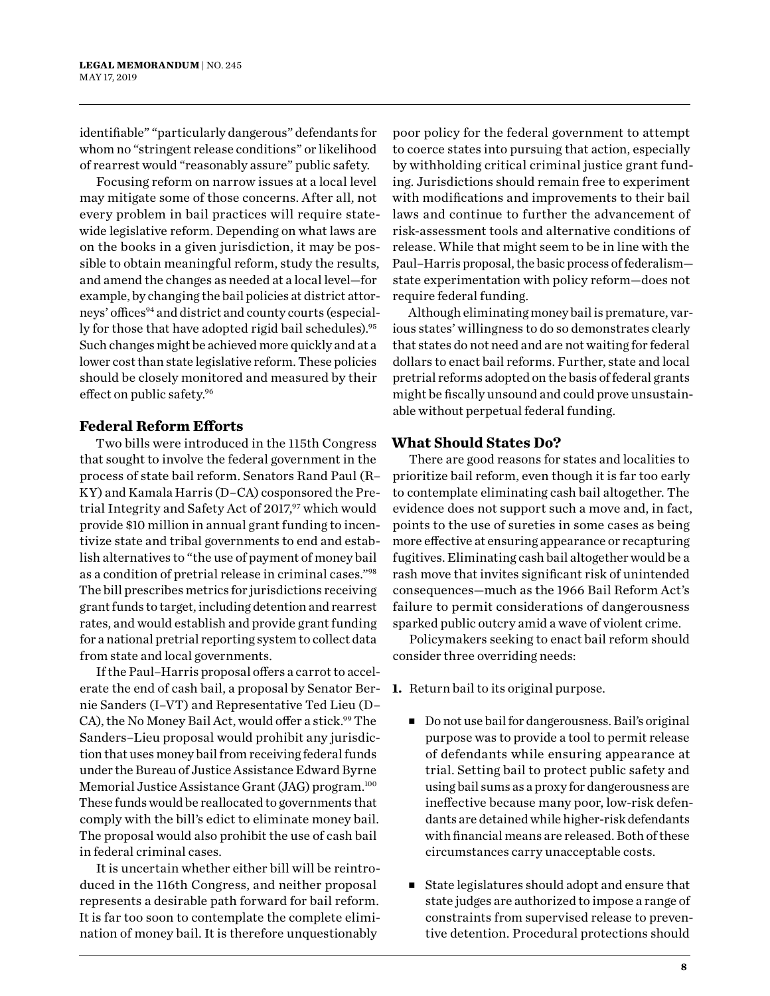identifiable" "particularly dangerous" defendants for whom no "stringent release conditions" or likelihood of rearrest would "reasonably assure" public safety.

Focusing reform on narrow issues at a local level may mitigate some of those concerns. After all, not every problem in bail practices will require statewide legislative reform. Depending on what laws are on the books in a given jurisdiction, it may be possible to obtain meaningful reform, study the results, and amend the changes as needed at a local level—for example, by changing the bail policies at district attorneys' offices<sup>94</sup> and district and county courts (especially for those that have adopted rigid bail schedules).<sup>95</sup> Such changes might be achieved more quickly and at a lower cost than state legislative reform. These policies should be closely monitored and measured by their effect on public safety.96

#### **Federal Reform Efforts**

Two bills were introduced in the 115th Congress that sought to involve the federal government in the process of state bail reform. Senators Rand Paul (R– KY) and Kamala Harris (D–CA) cosponsored the Pretrial Integrity and Safety Act of 2017,97 which would provide \$10 million in annual grant funding to incentivize state and tribal governments to end and establish alternatives to "the use of payment of money bail as a condition of pretrial release in criminal cases."98 The bill prescribes metrics for jurisdictions receiving grant funds to target, including detention and rearrest rates, and would establish and provide grant funding for a national pretrial reporting system to collect data from state and local governments.

If the Paul–Harris proposal offers a carrot to accelerate the end of cash bail, a proposal by Senator Bernie Sanders (I–VT) and Representative Ted Lieu (D– CA), the No Money Bail Act, would offer a stick.<sup>99</sup> The Sanders–Lieu proposal would prohibit any jurisdiction that uses money bail from receiving federal funds under the Bureau of Justice Assistance Edward Byrne Memorial Justice Assistance Grant (JAG) program.<sup>100</sup> These funds would be reallocated to governments that comply with the bill's edict to eliminate money bail. The proposal would also prohibit the use of cash bail in federal criminal cases.

It is uncertain whether either bill will be reintroduced in the 116th Congress, and neither proposal represents a desirable path forward for bail reform. It is far too soon to contemplate the complete elimination of money bail. It is therefore unquestionably

poor policy for the federal government to attempt to coerce states into pursuing that action, especially by withholding critical criminal justice grant funding. Jurisdictions should remain free to experiment with modifications and improvements to their bail laws and continue to further the advancement of risk-assessment tools and alternative conditions of release. While that might seem to be in line with the Paul–Harris proposal, the basic process of federalism state experimentation with policy reform—does not require federal funding.

Although eliminating money bail is premature, various states' willingness to do so demonstrates clearly that states do not need and are not waiting for federal dollars to enact bail reforms. Further, state and local pretrial reforms adopted on the basis of federal grants might be fiscally unsound and could prove unsustainable without perpetual federal funding.

#### **What Should States Do?**

There are good reasons for states and localities to prioritize bail reform, even though it is far too early to contemplate eliminating cash bail altogether. The evidence does not support such a move and, in fact, points to the use of sureties in some cases as being more effective at ensuring appearance or recapturing fugitives. Eliminating cash bail altogether would be a rash move that invites significant risk of unintended consequences—much as the 1966 Bail Reform Act's failure to permit considerations of dangerousness sparked public outcry amid a wave of violent crime.

Policymakers seeking to enact bail reform should consider three overriding needs:

- **1.** Return bail to its original purpose.
	- Do not use bail for dangerousness. Bail's original purpose was to provide a tool to permit release of defendants while ensuring appearance at trial. Setting bail to protect public safety and using bail sums as a proxy for dangerousness are ineffective because many poor, low-risk defendants are detained while higher-risk defendants with financial means are released. Both of these circumstances carry unacceptable costs.
	- State legislatures should adopt and ensure that state judges are authorized to impose a range of constraints from supervised release to preventive detention. Procedural protections should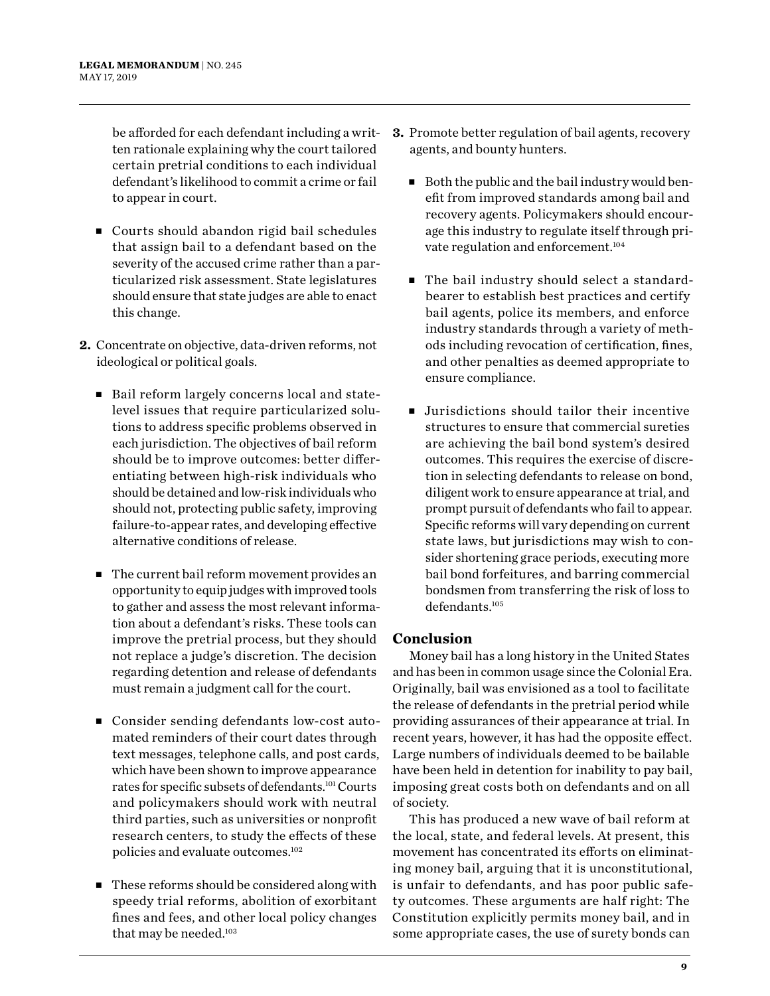be afforded for each defendant including a written rationale explaining why the court tailored certain pretrial conditions to each individual defendant's likelihood to commit a crime or fail to appear in court.

- Courts should abandon rigid bail schedules that assign bail to a defendant based on the severity of the accused crime rather than a particularized risk assessment. State legislatures should ensure that state judges are able to enact this change.
- **2.** Concentrate on objective, data-driven reforms, not ideological or political goals.
	- Bail reform largely concerns local and statelevel issues that require particularized solutions to address specific problems observed in each jurisdiction. The objectives of bail reform should be to improve outcomes: better differentiating between high-risk individuals who should be detained and low-risk individuals who should not, protecting public safety, improving failure-to-appear rates, and developing effective alternative conditions of release.
	- $\blacksquare$  The current bail reform movement provides an opportunity to equip judges with improved tools to gather and assess the most relevant information about a defendant's risks. These tools can improve the pretrial process, but they should not replace a judge's discretion. The decision regarding detention and release of defendants must remain a judgment call for the court.
	- Consider sending defendants low-cost automated reminders of their court dates through text messages, telephone calls, and post cards, which have been shown to improve appearance rates for specific subsets of defendants.101 Courts and policymakers should work with neutral third parties, such as universities or nonprofit research centers, to study the effects of these policies and evaluate outcomes.102
	- <sup>n</sup> These reforms should be considered along with speedy trial reforms, abolition of exorbitant fines and fees, and other local policy changes that may be needed.<sup>103</sup>
- **3.** Promote better regulation of bail agents, recovery agents, and bounty hunters.
	- $\blacksquare$  Both the public and the bail industry would benefit from improved standards among bail and recovery agents. Policymakers should encourage this industry to regulate itself through private regulation and enforcement.<sup>104</sup>
	- The bail industry should select a standardbearer to establish best practices and certify bail agents, police its members, and enforce industry standards through a variety of methods including revocation of certification, fines, and other penalties as deemed appropriate to ensure compliance.
	- $\blacksquare$  Jurisdictions should tailor their incentive structures to ensure that commercial sureties are achieving the bail bond system's desired outcomes. This requires the exercise of discretion in selecting defendants to release on bond, diligent work to ensure appearance at trial, and prompt pursuit of defendants who fail to appear. Specific reforms will vary depending on current state laws, but jurisdictions may wish to consider shortening grace periods, executing more bail bond forfeitures, and barring commercial bondsmen from transferring the risk of loss to defendants.105

#### **Conclusion**

Money bail has a long history in the United States and has been in common usage since the Colonial Era. Originally, bail was envisioned as a tool to facilitate the release of defendants in the pretrial period while providing assurances of their appearance at trial. In recent years, however, it has had the opposite effect. Large numbers of individuals deemed to be bailable have been held in detention for inability to pay bail, imposing great costs both on defendants and on all of society.

This has produced a new wave of bail reform at the local, state, and federal levels. At present, this movement has concentrated its efforts on eliminating money bail, arguing that it is unconstitutional, is unfair to defendants, and has poor public safety outcomes. These arguments are half right: The Constitution explicitly permits money bail, and in some appropriate cases, the use of surety bonds can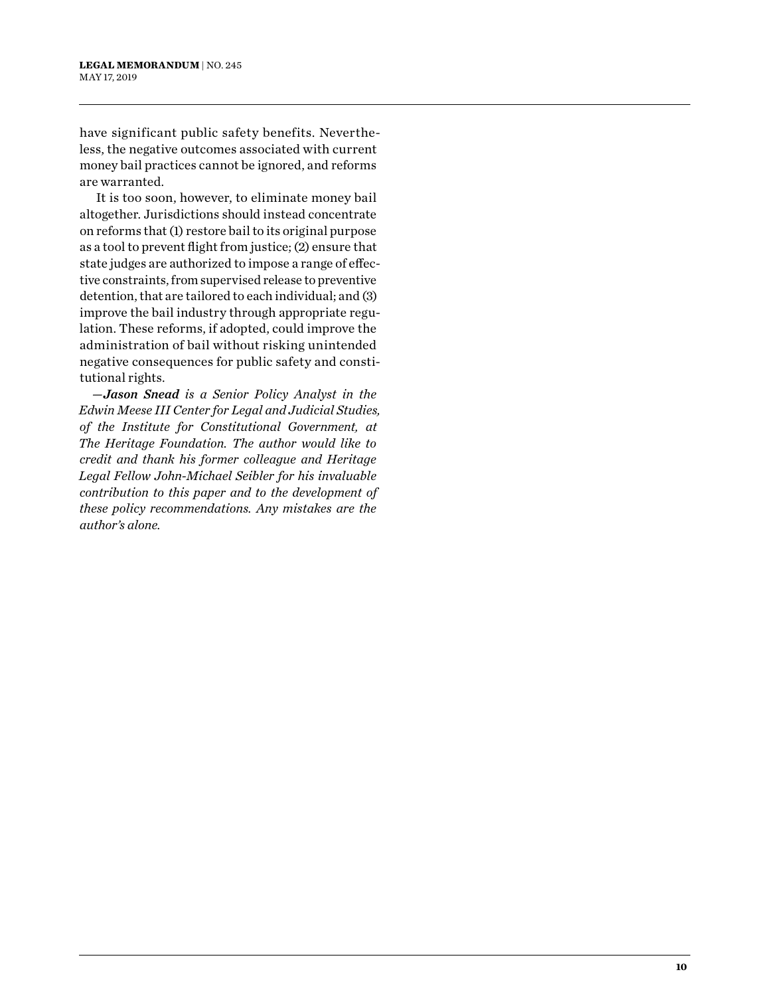have significant public safety benefits. Nevertheless, the negative outcomes associated with current money bail practices cannot be ignored, and reforms are warranted.

It is too soon, however, to eliminate money bail altogether. Jurisdictions should instead concentrate on reforms that (1) restore bail to its original purpose as a tool to prevent flight from justice; (2) ensure that state judges are authorized to impose a range of effective constraints, from supervised release to preventive detention, that are tailored to each individual; and (3) improve the bail industry through appropriate regulation. These reforms, if adopted, could improve the administration of bail without risking unintended negative consequences for public safety and constitutional rights.

*—Jason Snead is a Senior Policy Analyst in the Edwin Meese III Center for Legal and Judicial Studies, of the Institute for Constitutional Government, at The Heritage Foundation. The author would like to credit and thank his former colleague and Heritage Legal Fellow John-Michael Seibler for his invaluable contribution to this paper and to the development of these policy recommendations. Any mistakes are the author's alone.*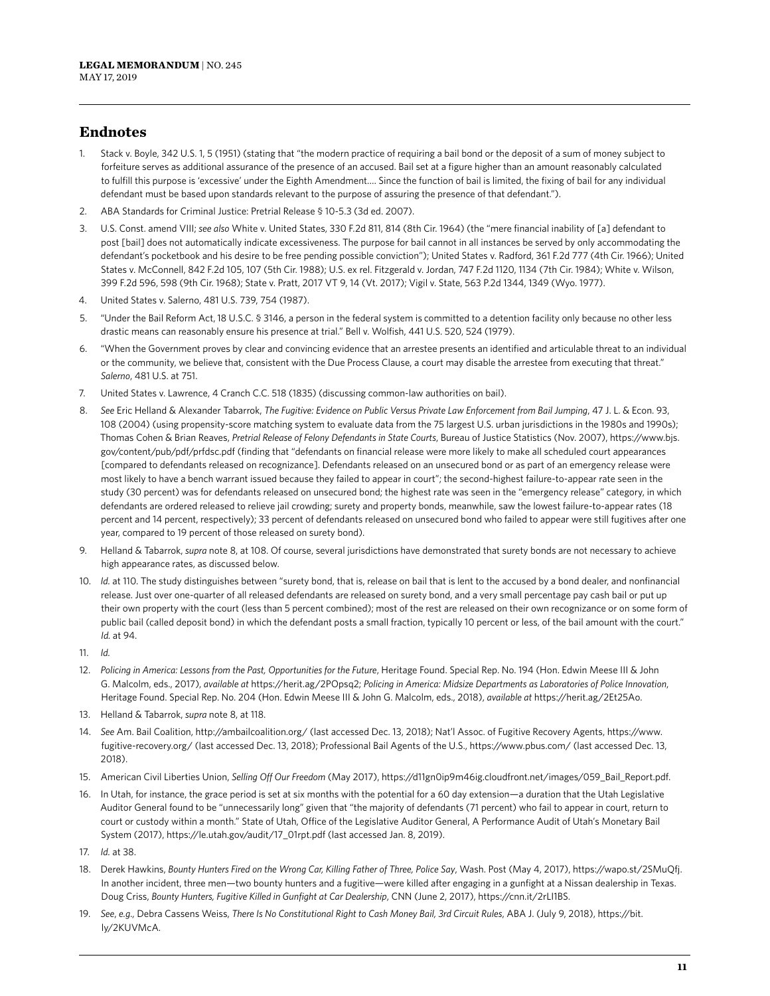#### **Endnotes**

- 1. Stack v. Boyle, 342 U.S. 1, 5 (1951) (stating that "the modern practice of requiring a bail bond or the deposit of a sum of money subject to forfeiture serves as additional assurance of the presence of an accused. Bail set at a figure higher than an amount reasonably calculated to fulfill this purpose is 'excessive' under the Eighth Amendment.… Since the function of bail is limited, the fixing of bail for any individual defendant must be based upon standards relevant to the purpose of assuring the presence of that defendant.").
- 2. ABA Standards for Criminal Justice: Pretrial Release § 10-5.3 (3d ed. 2007).
- 3. U.S. Const. amend VIII; *see also* White v. United States, 330 F.2d 811, 814 (8th Cir. 1964) (the "mere financial inability of [a] defendant to post [bail] does not automatically indicate excessiveness. The purpose for bail cannot in all instances be served by only accommodating the defendant's pocketbook and his desire to be free pending possible conviction"); United States v. Radford, 361 F.2d 777 (4th Cir. 1966); United States v. McConnell, 842 F.2d 105, 107 (5th Cir. 1988); U.S. ex rel. Fitzgerald v. Jordan, 747 F.2d 1120, 1134 (7th Cir. 1984); White v. Wilson, 399 F.2d 596, 598 (9th Cir. 1968); State v. Pratt, 2017 VT 9, 14 (Vt. 2017); Vigil v. State, 563 P.2d 1344, 1349 (Wyo. 1977).
- 4. United States v. Salerno, 481 U.S. 739, 754 (1987).
- 5. "Under the Bail Reform Act, 18 U.S.C. § 3146, a person in the federal system is committed to a detention facility only because no other less drastic means can reasonably ensure his presence at trial." Bell v. Wolfish, 441 U.S. 520, 524 (1979).
- 6. "When the Government proves by clear and convincing evidence that an arrestee presents an identified and articulable threat to an individual or the community, we believe that, consistent with the Due Process Clause, a court may disable the arrestee from executing that threat." *Salerno*, 481 U.S. at 751.
- 7. United States v. Lawrence, 4 Cranch C.C. 518 (1835) (discussing common-law authorities on bail).
- 8. *See* Eric Helland & Alexander Tabarrok, *The Fugitive: Evidence on Public Versus Private Law Enforcement from Bail Jumping*, 47 J. L. & Econ. 93, 108 (2004) (using propensity-score matching system to evaluate data from the 75 largest U.S. urban jurisdictions in the 1980s and 1990s); Thomas Cohen & Brian Reaves, *Pretrial Release of Felony Defendants in State Courts*, Bureau of Justice Statistics (Nov. 2007), https://www.bjs. gov/content/pub/pdf/prfdsc.pdf (finding that "defendants on financial release were more likely to make all scheduled court appearances [compared to defendants released on recognizance]. Defendants released on an unsecured bond or as part of an emergency release were most likely to have a bench warrant issued because they failed to appear in court"; the second-highest failure-to-appear rate seen in the study (30 percent) was for defendants released on unsecured bond; the highest rate was seen in the "emergency release" category, in which defendants are ordered released to relieve jail crowding; surety and property bonds, meanwhile, saw the lowest failure-to-appear rates (18 percent and 14 percent, respectively); 33 percent of defendants released on unsecured bond who failed to appear were still fugitives after one year, compared to 19 percent of those released on surety bond).
- 9. Helland & Tabarrok, *supra* note 8, at 108. Of course, several jurisdictions have demonstrated that surety bonds are not necessary to achieve high appearance rates, as discussed below.
- 10. *Id.* at 110. The study distinguishes between "surety bond, that is, release on bail that is lent to the accused by a bond dealer, and nonfinancial release. Just over one-quarter of all released defendants are released on surety bond, and a very small percentage pay cash bail or put up their own property with the court (less than 5 percent combined); most of the rest are released on their own recognizance or on some form of public bail (called deposit bond) in which the defendant posts a small fraction, typically 10 percent or less, of the bail amount with the court." *Id.* at 94.
- 11. *Id.*
- 12. Policing in America: Lessons from the Past, Opportunities for the Future, Heritage Found. Special Rep. No. 194 (Hon. Edwin Meese III & John G. Malcolm, eds., 2017), *available at* https://herit.ag/2POpsq2; *Policing in America: Midsize Departments as Laboratories of Police Innovation*, Heritage Found. Special Rep. No. 204 (Hon. Edwin Meese III & John G. Malcolm, eds., 2018), *available at* https://herit.ag/2Et25Ao.
- 13. Helland & Tabarrok, *supra* note 8, at 118.
- 14. *See* Am. Bail Coalition, http://ambailcoalition.org/ (last accessed Dec. 13, 2018); Nat'l Assoc. of Fugitive Recovery Agents, https://www. fugitive-recovery.org/ (last accessed Dec. 13, 2018); Professional Bail Agents of the U.S., https://www.pbus.com/ (last accessed Dec. 13, 2018).
- 15. American Civil Liberties Union, *Selling Off Our Freedom* (May 2017), https://d11gn0ip9m46ig.cloudfront.net/images/059\_Bail\_Report.pdf.
- 16. In Utah, for instance, the grace period is set at six months with the potential for a 60 day extension—a duration that the Utah Legislative Auditor General found to be "unnecessarily long" given that "the majority of defendants (71 percent) who fail to appear in court, return to court or custody within a month." State of Utah, Office of the Legislative Auditor General, A Performance Audit of Utah's Monetary Bail System (2017), https://le.utah.gov/audit/17\_01rpt.pdf (last accessed Jan. 8, 2019).
- 17. *Id.* at 38.
- 18. Derek Hawkins, *Bounty Hunters Fired on the Wrong Car, Killing Father of Three, Police Say*, Wash. Post (May 4, 2017), https://wapo.st/2SMuQfj. In another incident, three men—two bounty hunters and a fugitive—were killed after engaging in a gunfight at a Nissan dealership in Texas. Doug Criss, *Bounty Hunters, Fugitive Killed in Gunfight at Car Dealership*, CNN (June 2, 2017), https://cnn.it/2rLI1BS.
- 19. *See*, *e.g.,* Debra Cassens Weiss, *There Is No Constitutional Right to Cash Money Bail, 3rd Circuit Rules*, ABA J. (July 9, 2018), https://bit. ly/2KUVMcA.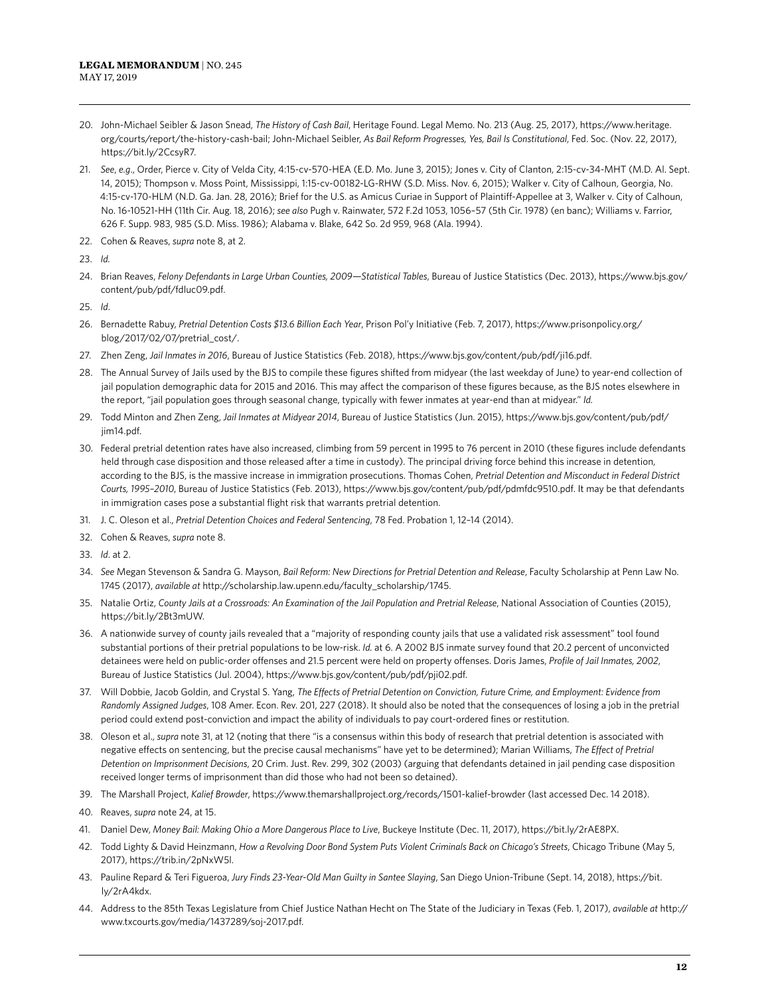- 20. John-Michael Seibler & Jason Snead, *The History of Cash Bail*, Heritage Found. Legal Memo. No. 213 (Aug. 25, 2017), https://www.heritage. org/courts/report/the-history-cash-bail; John-Michael Seibler, *As Bail Reform Progresses, Yes, Bail Is Constitutional*, Fed. Soc. (Nov. 22, 2017), https://bit.ly/2CcsyR7.
- 21. *See*, *e.g*., Order, Pierce v. City of Velda City, 4:15-cv-570-HEA (E.D. Mo. June 3, 2015); Jones v. City of Clanton, 2:15-cv-34-MHT (M.D. Al. Sept. 14, 2015); Thompson v. Moss Point, Mississippi, 1:15-cv-00182-LG-RHW (S.D. Miss. Nov. 6, 2015); Walker v. City of Calhoun, Georgia, No. 4:15-cv-170-HLM (N.D. Ga. Jan. 28, 2016); Brief for the U.S. as Amicus Curiae in Support of Plaintiff-Appellee at 3, Walker v. City of Calhoun, No. 16-10521-HH (11th Cir. Aug. 18, 2016); *see also* Pugh v. Rainwater, 572 F.2d 1053, 1056–57 (5th Cir. 1978) (en banc); Williams v. Farrior, 626 F. Supp. 983, 985 (S.D. Miss. 1986); Alabama v. Blake, 642 So. 2d 959, 968 (Ala. 1994).
- 22. Cohen & Reaves, *supra* note 8, at 2.
- 23. *Id.*
- 24. Brian Reaves, *Felony Defendants in Large Urban Counties, 2009—Statistical Tables*, Bureau of Justice Statistics (Dec. 2013), https://www.bjs.gov/ content/pub/pdf/fdluc09.pdf.
- 25. *Id*.
- 26. Bernadette Rabuy, *Pretrial Detention Costs \$13.6 Billion Each Year*, Prison Pol'y Initiative (Feb. 7, 2017), https://www.prisonpolicy.org/ blog/2017/02/07/pretrial\_cost/.
- 27. Zhen Zeng, *Jail Inmates in 2016*, Bureau of Justice Statistics (Feb. 2018), https://www.bjs.gov/content/pub/pdf/ji16.pdf.
- 28. The Annual Survey of Jails used by the BJS to compile these figures shifted from midyear (the last weekday of June) to year-end collection of jail population demographic data for 2015 and 2016. This may affect the comparison of these figures because, as the BJS notes elsewhere in the report, "jail population goes through seasonal change, typically with fewer inmates at year-end than at midyear." *Id.*
- 29. Todd Minton and Zhen Zeng, *Jail Inmates at Midyear 2014*, Bureau of Justice Statistics (Jun. 2015), https://www.bjs.gov/content/pub/pdf/ jim14.pdf.
- 30. Federal pretrial detention rates have also increased, climbing from 59 percent in 1995 to 76 percent in 2010 (these figures include defendants held through case disposition and those released after a time in custody). The principal driving force behind this increase in detention, according to the BJS, is the massive increase in immigration prosecutions. Thomas Cohen, *Pretrial Detention and Misconduct in Federal District Courts, 1995–2010*, Bureau of Justice Statistics (Feb. 2013), https://www.bjs.gov/content/pub/pdf/pdmfdc9510.pdf. It may be that defendants in immigration cases pose a substantial flight risk that warrants pretrial detention.
- 31. J. C. Oleson et al., *Pretrial Detention Choices and Federal Sentencing*, 78 Fed. Probation 1, 12–14 (2014).
- 32. Cohen & Reaves, *supra* note 8.
- 33. *Id*. at 2.
- 34. *See* Megan Stevenson & Sandra G. Mayson, *Bail Reform: New Directions for Pretrial Detention and Release*, Faculty Scholarship at Penn Law No. 1745 (2017), *available at* http://scholarship.law.upenn.edu/faculty\_scholarship/1745.
- 35. Natalie Ortiz, *County Jails at a Crossroads: An Examination of the Jail Population and Pretrial Release*, National Association of Counties (2015), https://bit.ly/2Bt3mUW.
- 36. A nationwide survey of county jails revealed that a "majority of responding county jails that use a validated risk assessment" tool found substantial portions of their pretrial populations to be low-risk. *Id.* at 6. A 2002 BJS inmate survey found that 20.2 percent of unconvicted detainees were held on public-order offenses and 21.5 percent were held on property offenses. Doris James, *Profile of Jail Inmates, 2002*, Bureau of Justice Statistics (Jul. 2004), https://www.bjs.gov/content/pub/pdf/pji02.pdf.
- 37. Will Dobbie, Jacob Goldin, and Crystal S. Yang, *The Effects of Pretrial Detention on Conviction, Future Crime, and Employment: Evidence from Randomly Assigned Judges*, 108 Amer. Econ. Rev. 201, 227 (2018). It should also be noted that the consequences of losing a job in the pretrial period could extend post-conviction and impact the ability of individuals to pay court-ordered fines or restitution.
- 38. Oleson et al., *supra* note 31, at 12 (noting that there "is a consensus within this body of research that pretrial detention is associated with negative effects on sentencing, but the precise causal mechanisms" have yet to be determined); Marian Williams, *The Effect of Pretrial Detention on Imprisonment Decisions*, 20 Crim. Just. Rev. 299, 302 (2003) (arguing that defendants detained in jail pending case disposition received longer terms of imprisonment than did those who had not been so detained).
- 39. The Marshall Project, *Kalief Browder*, https://www.themarshallproject.org/records/1501-kalief-browder (last accessed Dec. 14 2018).
- 40. Reaves, *supra* note 24, at 15.
- 41. Daniel Dew, *Money Bail: Making Ohio a More Dangerous Place to Live*, Buckeye Institute (Dec. 11, 2017), https://bit.ly/2rAE8PX.
- 42. Todd Lighty & David Heinzmann, *How a Revolving Door Bond System Puts Violent Criminals Back on Chicago's Streets*, Chicago Tribune (May 5, 2017), https://trib.in/2pNxW5l.
- 43. Pauline Repard & Teri Figueroa, *Jury Finds 23-Year-Old Man Guilty in Santee Slaying*, San Diego Union-Tribune (Sept. 14, 2018), https://bit. ly/2rA4kdx.
- 44. Address to the 85th Texas Legislature from Chief Justice Nathan Hecht on The State of the Judiciary in Texas (Feb. 1, 2017), *available at* http:// www.txcourts.gov/media/1437289/soj-2017.pdf.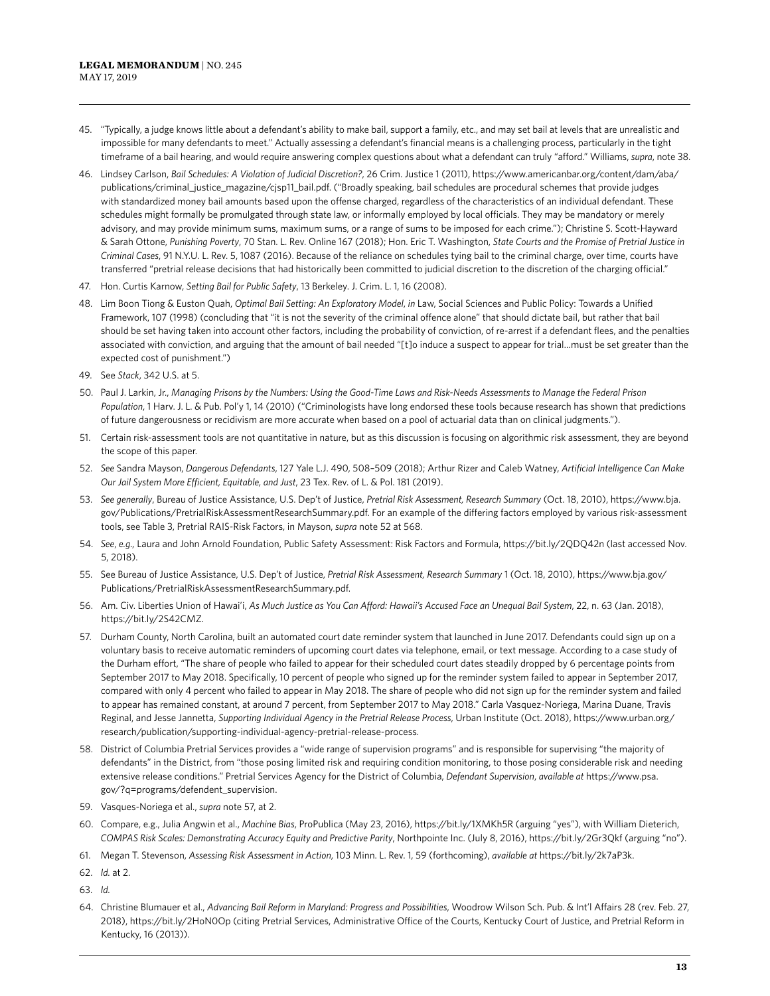- 45. "Typically, a judge knows little about a defendant's ability to make bail, support a family, etc., and may set bail at levels that are unrealistic and impossible for many defendants to meet." Actually assessing a defendant's financial means is a challenging process, particularly in the tight timeframe of a bail hearing, and would require answering complex questions about what a defendant can truly "afford." Williams, *supra*, note 38.
- 46. Lindsey Carlson, *Bail Schedules: A Violation of Judicial Discretion?*, 26 Crim. Justice 1 (2011), https://www.americanbar.org/content/dam/aba/ publications/criminal\_justice\_magazine/cjsp11\_bail.pdf. ("Broadly speaking, bail schedules are procedural schemes that provide judges with standardized money bail amounts based upon the offense charged, regardless of the characteristics of an individual defendant. These schedules might formally be promulgated through state law, or informally employed by local officials. They may be mandatory or merely advisory, and may provide minimum sums, maximum sums, or a range of sums to be imposed for each crime."); Christine S. Scott-Hayward & Sarah Ottone, *Punishing Poverty*, 70 Stan. L. Rev. Online 167 (2018); Hon. Eric T. Washington, *State Courts and the Promise of Pretrial Justice in Criminal Cases*, 91 N.Y.U. L. Rev. 5, 1087 (2016). Because of the reliance on schedules tying bail to the criminal charge, over time, courts have transferred "pretrial release decisions that had historically been committed to judicial discretion to the discretion of the charging official."
- 47. Hon. Curtis Karnow, *Setting Bail for Public Safety*, 13 Berkeley. J. Crim. L. 1, 16 (2008).
- 48. Lim Boon Tiong & Euston Quah, *Optimal Bail Setting: An Exploratory Model*, *in* Law, Social Sciences and Public Policy: Towards a Unified Framework, 107 (1998) (concluding that "it is not the severity of the criminal offence alone" that should dictate bail, but rather that bail should be set having taken into account other factors, including the probability of conviction, of re-arrest if a defendant flees, and the penalties associated with conviction, and arguing that the amount of bail needed "[t]o induce a suspect to appear for trial…must be set greater than the expected cost of punishment.")
- 49. See *Stack*, 342 U.S. at 5.
- 50. Paul J. Larkin, Jr., *Managing Prisons by the Numbers: Using the Good-Time Laws and Risk-Needs Assessments to Manage the Federal Prison Population*, 1 Harv. J. L. & Pub. Pol'y 1, 14 (2010) ("Criminologists have long endorsed these tools because research has shown that predictions of future dangerousness or recidivism are more accurate when based on a pool of actuarial data than on clinical judgments.").
- 51. Certain risk-assessment tools are not quantitative in nature, but as this discussion is focusing on algorithmic risk assessment, they are beyond the scope of this paper.
- 52. *See* Sandra Mayson, *Dangerous Defendants*, 127 Yale L.J. 490, 508–509 (2018); Arthur Rizer and Caleb Watney, *Artificial Intelligence Can Make Our Jail System More Efficient, Equitable, and Just*, 23 Tex. Rev. of L. & Pol. 181 (2019).
- 53. *See generally*, Bureau of Justice Assistance, U.S. Dep't of Justice, *Pretrial Risk Assessment, Research Summary* (Oct. 18, 2010), https://www.bja. gov/Publications/PretrialRiskAssessmentResearchSummary.pdf. For an example of the differing factors employed by various risk-assessment tools, see Table 3, Pretrial RAIS-Risk Factors, in Mayson, *supra* note 52 at 568.
- 54. *See*, *e.g.,* Laura and John Arnold Foundation, Public Safety Assessment: Risk Factors and Formula, https://bit.ly/2QDQ42n (last accessed Nov. 5, 2018).
- 55. See Bureau of Justice Assistance, U.S. Dep't of Justice, *Pretrial Risk Assessment, Research Summary* 1 (Oct. 18, 2010), https://www.bja.gov/ Publications/PretrialRiskAssessmentResearchSummary.pdf.
- 56. Am. Civ. Liberties Union of Hawai'i, *As Much Justice as You Can Afford: Hawaii's Accused Face an Unequal Bail System*, 22, n. 63 (Jan. 2018), https://bit.ly/2S42CMZ.
- 57. Durham County, North Carolina, built an automated court date reminder system that launched in June 2017. Defendants could sign up on a voluntary basis to receive automatic reminders of upcoming court dates via telephone, email, or text message. According to a case study of the Durham effort, "The share of people who failed to appear for their scheduled court dates steadily dropped by 6 percentage points from September 2017 to May 2018. Specifically, 10 percent of people who signed up for the reminder system failed to appear in September 2017, compared with only 4 percent who failed to appear in May 2018. The share of people who did not sign up for the reminder system and failed to appear has remained constant, at around 7 percent, from September 2017 to May 2018." Carla Vasquez-Noriega, Marina Duane, Travis Reginal, and Jesse Jannetta, *Supporting Individual Agency in the Pretrial Release Process*, Urban Institute (Oct. 2018), https://www.urban.org/ research/publication/supporting-individual-agency-pretrial-release-process.
- 58. District of Columbia Pretrial Services provides a "wide range of supervision programs" and is responsible for supervising "the majority of defendants" in the District, from "those posing limited risk and requiring condition monitoring, to those posing considerable risk and needing extensive release conditions." Pretrial Services Agency for the District of Columbia, *Defendant Supervision*, *available at* https://www.psa. gov/?q=programs/defendent\_supervision.
- 59. Vasques-Noriega et al., *supra* note 57, at 2.
- 60. Compare, e.g., Julia Angwin et al., *Machine Bias*, ProPublica (May 23, 2016), https://bit.ly/1XMKh5R (arguing "yes"), with William Dieterich, *COMPAS Risk Scales: Demonstrating Accuracy Equity and Predictive Parity*, Northpointe Inc. (July 8, 2016), https://bit.ly/2Gr3Qkf (arguing "no").
- 61. Megan T. Stevenson, *Assessing Risk Assessment in Action*, 103 Minn. L. Rev. 1, 59 (forthcoming), *available at* https://bit.ly/2k7aP3k.
- 62. *Id.* at 2.
- 63. *Id.*
- 64. Christine Blumauer et al., *Advancing Bail Reform in Maryland: Progress and Possibilities*, Woodrow Wilson Sch. Pub. & Int'l Affairs 28 (rev. Feb. 27, 2018), https://bit.ly/2HoN0Op (citing Pretrial Services, Administrative Office of the Courts, Kentucky Court of Justice, and Pretrial Reform in Kentucky, 16 (2013)).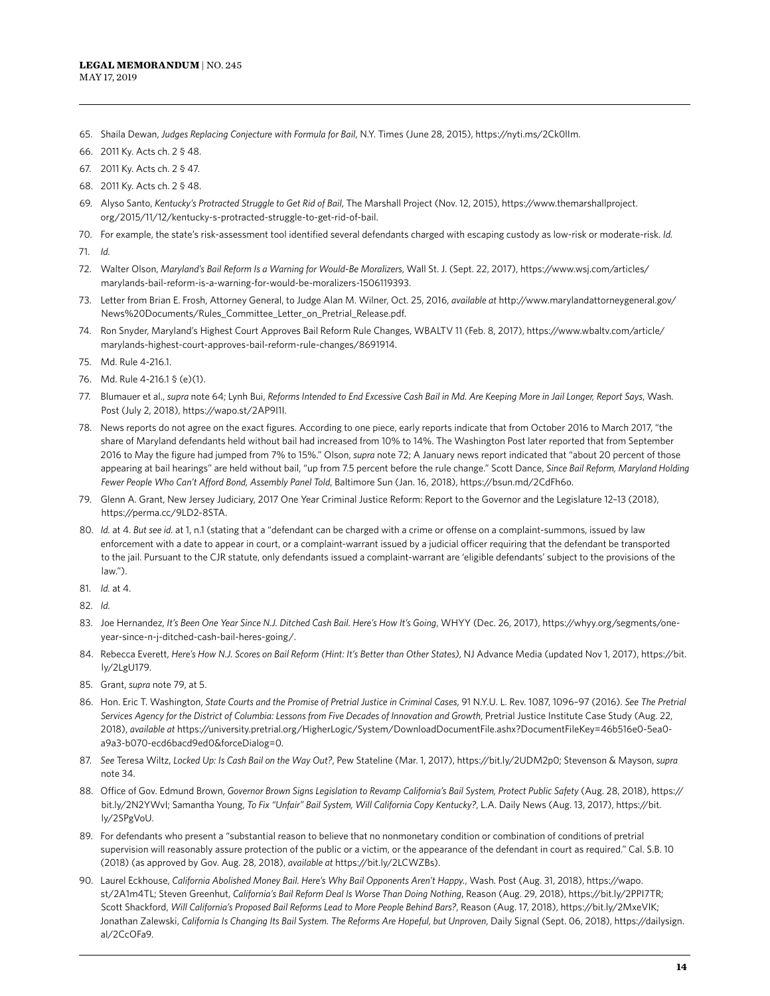- 65. Shaila Dewan, *Judges Replacing Conjecture with Formula for Bail*, N.Y. Times (June 28, 2015), https://nyti.ms/2Ck0lIm.
- 66. 2011 Ky. Acts ch. 2 § 48.
- 67. 2011 Ky. Acts ch. 2 § 47.
- 68. 2011 Ky. Acts ch. 2 § 48.
- 69. Alyso Santo, *Kentucky's Protracted Struggle to Get Rid of Bail*, The Marshall Project (Nov. 12, 2015), https://www.themarshallproject. org/2015/11/12/kentucky-s-protracted-struggle-to-get-rid-of-bail.
- 70. For example, the state's risk-assessment tool identified several defendants charged with escaping custody as low-risk or moderate-risk. *Id.*
- 71. *Id.*
- 72. Walter Olson, *Maryland's Bail Reform Is a Warning for Would-Be Moralizers*, Wall St. J. (Sept. 22, 2017), https://www.wsj.com/articles/ marylands-bail-reform-is-a-warning-for-would-be-moralizers-1506119393.
- 73. Letter from Brian E. Frosh, Attorney General, to Judge Alan M. Wilner, Oct. 25, 2016, *available at* http://www.marylandattorneygeneral.gov/ News%20Documents/Rules\_Committee\_Letter\_on\_Pretrial\_Release.pdf.
- 74. Ron Snyder, Maryland's Highest Court Approves Bail Reform Rule Changes, WBALTV 11 (Feb. 8, 2017), https://www.wbaltv.com/article/ marylands-highest-court-approves-bail-reform-rule-changes/8691914.
- 75. Md. Rule 4-216.1.
- 76. Md. Rule 4-216.1 § (e)(1).
- 77. Blumauer et al., *supra* note 64; Lynh Bui, *Reforms Intended to End Excessive Cash Bail in Md. Are Keeping More in Jail Longer, Report Says*, Wash. Post (July 2, 2018), https://wapo.st/2AP9I1I.
- 78. News reports do not agree on the exact figures. According to one piece, early reports indicate that from October 2016 to March 2017, "the share of Maryland defendants held without bail had increased from 10% to 14%. The Washington Post later reported that from September 2016 to May the figure had jumped from 7% to 15%." Olson, *supra* note 72; A January news report indicated that "about 20 percent of those appearing at bail hearings" are held without bail, "up from 7.5 percent before the rule change." Scott Dance, *Since Bail Reform, Maryland Holding Fewer People Who Can't Afford Bond, Assembly Panel Told*, Baltimore Sun (Jan. 16, 2018), https://bsun.md/2CdFh6o.
- 79. Glenn A. Grant, New Jersey Judiciary, 2017 One Year Criminal Justice Reform: Report to the Governor and the Legislature 12–13 (2018), https://perma.cc/9LD2-8STA.
- 80. *Id.* at 4. *But see id.* at 1, n.1 (stating that a "defendant can be charged with a crime or offense on a complaint-summons, issued by law enforcement with a date to appear in court, or a complaint-warrant issued by a judicial officer requiring that the defendant be transported to the jail. Pursuant to the CJR statute, only defendants issued a complaint-warrant are 'eligible defendants' subject to the provisions of the law.").
- 81. *Id.* at 4.
- 82. *Id.*
- 83. Joe Hernandez, It's Been One Year Since N.J. Ditched Cash Bail. Here's How It's Going, WHYY (Dec. 26, 2017), https://whyy.org/segments/oneyear-since-n-j-ditched-cash-bail-heres-going/.
- 84. Rebecca Everett, *Here's How N.J. Scores on Bail Reform (Hint: It's Better than Other States)*, NJ Advance Media (updated Nov 1, 2017), https://bit. ly/2LgU179.
- 85. Grant, *supra* note 79, at 5.
- 86. Hon. Eric T. Washington, *State Courts and the Promise of Pretrial Justice in Criminal Cases*, 91 N.Y.U. L. Rev. 1087, 1096–97 (2016). *See The Pretrial Services Agency for the District of Columbia: Lessons from Five Decades of Innovation and Growth*, Pretrial Justice Institute Case Study (Aug. 22, 2018), *available at* https://university.pretrial.org/HigherLogic/System/DownloadDocumentFile.ashx?DocumentFileKey=46b516e0-5ea0 a9a3-b070-ecd6bacd9ed0&forceDialog=0.
- 87. *See* Teresa Wiltz, *Locked Up: Is Cash Bail on the Way Out?*, Pew Stateline (Mar. 1, 2017), https://bit.ly/2UDM2p0; Stevenson & Mayson, *supra*  note 34.
- 88. Office of Gov. Edmund Brown, *Governor Brown Signs Legislation to Revamp California's Bail System, Protect Public Safety* (Aug. 28, 2018), https:// bit.ly/2N2YWvI; Samantha Young, *To Fix "Unfair" Bail System, Will California Copy Kentucky?*, L.A. Daily News (Aug. 13, 2017), https://bit. ly/2SPgVoU.
- 89. For defendants who present a "substantial reason to believe that no nonmonetary condition or combination of conditions of pretrial supervision will reasonably assure protection of the public or a victim, or the appearance of the defendant in court as required." Cal. S.B. 10 (2018) (as approved by Gov. Aug. 28, 2018), *available at* https://bit.ly/2LCWZBs).
- 90. Laurel Eckhouse, *California Abolished Money Bail. Here's Why Bail Opponents Aren't Happy.*, Wash. Post (Aug. 31, 2018), https://wapo. st/2A1m4TL; Steven Greenhut, *California's Bail Reform Deal Is Worse Than Doing Nothing*, Reason (Aug. 29, 2018), https://bit.ly/2PPI7TR; Scott Shackford, *Will California's Proposed Bail Reforms Lead to More People Behind Bars?*, Reason (Aug. 17, 2018), https://bit.ly/2MxeVlK; Jonathan Zalewski, California Is Changing Its Bail System. The Reforms Are Hopeful, but Unproven, Daily Signal (Sept. 06, 2018), https://dailysign. al/2CcOFa9.